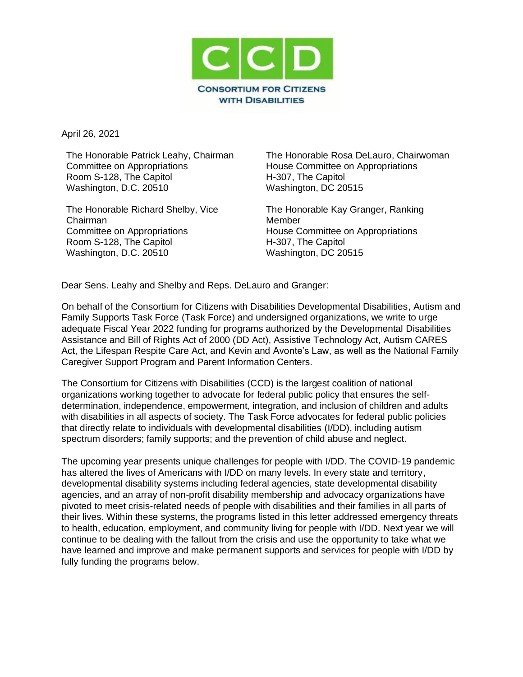

April 26, 2021

The Honorable Patrick Leahy, Chairman Committee on Appropriations Room S-128, The Capitol Washington, D.C. 20510

The Honorable Richard Shelby, Vice Chairman Committee on Appropriations Room S-128, The Capitol Washington, D.C. 20510

The Honorable Rosa DeLauro, Chairwoman House Committee on Appropriations H-307, The Capitol Washington, DC 20515

The Honorable Kay Granger, Ranking **Member** House Committee on Appropriations H-307, The Capitol Washington, DC 20515

Dear Sens. Leahy and Shelby and Reps. DeLauro and Granger:

On behalf of the Consortium for Citizens with Disabilities Developmental Disabilities, Autism and Family Supports Task Force (Task Force) and undersigned organizations, we write to urge adequate Fiscal Year 2022 funding for programs authorized by the Developmental Disabilities Assistance and Bill of Rights Act of 2000 (DD Act), Assistive Technology Act, Autism CARES Act, the Lifespan Respite Care Act, and Kevin and Avonte's Law, as well as the National Family Caregiver Support Program and Parent Information Centers.

The Consortium for Citizens with Disabilities (CCD) is the largest coalition of national organizations working together to advocate for federal public policy that ensures the selfdetermination, independence, empowerment, integration, and inclusion of children and adults with disabilities in all aspects of society. The Task Force advocates for federal public policies that directly relate to individuals with developmental disabilities (I/DD), including autism spectrum disorders; family supports; and the prevention of child abuse and neglect.

The upcoming year presents unique challenges for people with I/DD. The COVID-19 pandemic has altered the lives of Americans with I/DD on many levels. In every state and territory, developmental disability systems including federal agencies, state developmental disability agencies, and an array of non-profit disability membership and advocacy organizations have pivoted to meet crisis-related needs of people with disabilities and their families in all parts of their lives. Within these systems, the programs listed in this letter addressed emergency threats to health, education, employment, and community living for people with I/DD. Next year we will continue to be dealing with the fallout from the crisis and use the opportunity to take what we have learned and improve and make permanent supports and services for people with I/DD by fully funding the programs below.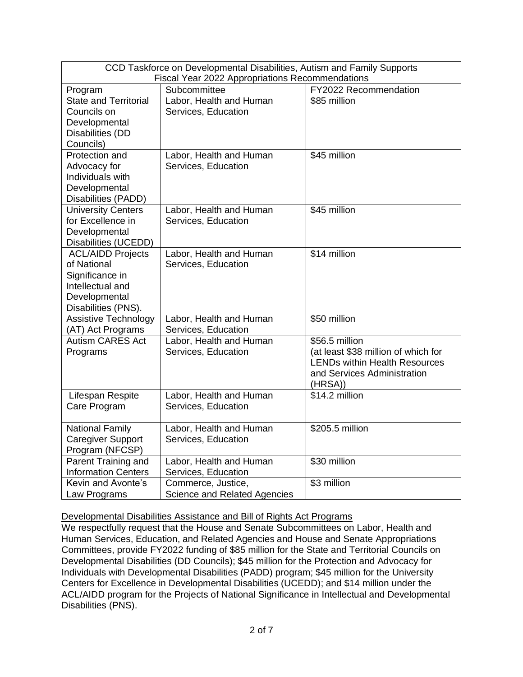| CCD Taskforce on Developmental Disabilities, Autism and Family Supports<br>Fiscal Year 2022 Appropriations Recommendations |                                                           |                                                                                                                                         |
|----------------------------------------------------------------------------------------------------------------------------|-----------------------------------------------------------|-----------------------------------------------------------------------------------------------------------------------------------------|
| Program                                                                                                                    | Subcommittee                                              | FY2022 Recommendation                                                                                                                   |
| <b>State and Territorial</b><br>Councils on<br>Developmental<br>Disabilities (DD<br>Councils)                              | Labor, Health and Human<br>Services, Education            | \$85 million                                                                                                                            |
| Protection and<br>Advocacy for<br>Individuals with<br>Developmental<br>Disabilities (PADD)                                 | Labor, Health and Human<br>Services, Education            | \$45 million                                                                                                                            |
| <b>University Centers</b><br>for Excellence in<br>Developmental<br>Disabilities (UCEDD)                                    | Labor, Health and Human<br>Services, Education            | \$45 million                                                                                                                            |
| <b>ACL/AIDD Projects</b><br>of National<br>Significance in<br>Intellectual and<br>Developmental<br>Disabilities (PNS).     | Labor, Health and Human<br>Services, Education            | \$14 million                                                                                                                            |
| <b>Assistive Technology</b><br>(AT) Act Programs                                                                           | Labor, Health and Human<br>Services, Education            | \$50 million                                                                                                                            |
| <b>Autism CARES Act</b><br>Programs                                                                                        | Labor, Health and Human<br>Services, Education            | \$56.5 million<br>(at least \$38 million of which for<br><b>LENDs within Health Resources</b><br>and Services Administration<br>(HRSA)) |
| Lifespan Respite<br>Care Program                                                                                           | Labor, Health and Human<br>Services, Education            | \$14.2 million                                                                                                                          |
| <b>National Family</b><br><b>Caregiver Support</b><br>Program (NFCSP)                                                      | Labor, Health and Human<br>Services, Education            | \$205.5 million                                                                                                                         |
| Parent Training and<br><b>Information Centers</b>                                                                          | Labor, Health and Human<br>Services, Education            | \$30 million                                                                                                                            |
| Kevin and Avonte's<br>Law Programs                                                                                         | Commerce, Justice,<br><b>Science and Related Agencies</b> | \$3 million                                                                                                                             |

Developmental Disabilities Assistance and Bill of Rights Act Programs

We respectfully request that the House and Senate Subcommittees on Labor, Health and Human Services, Education, and Related Agencies and House and Senate Appropriations Committees, provide FY2022 funding of \$85 million for the State and Territorial Councils on Developmental Disabilities (DD Councils); \$45 million for the Protection and Advocacy for Individuals with Developmental Disabilities (PADD) program; \$45 million for the University Centers for Excellence in Developmental Disabilities (UCEDD); and \$14 million under the ACL/AIDD program for the Projects of National Significance in Intellectual and Developmental Disabilities (PNS).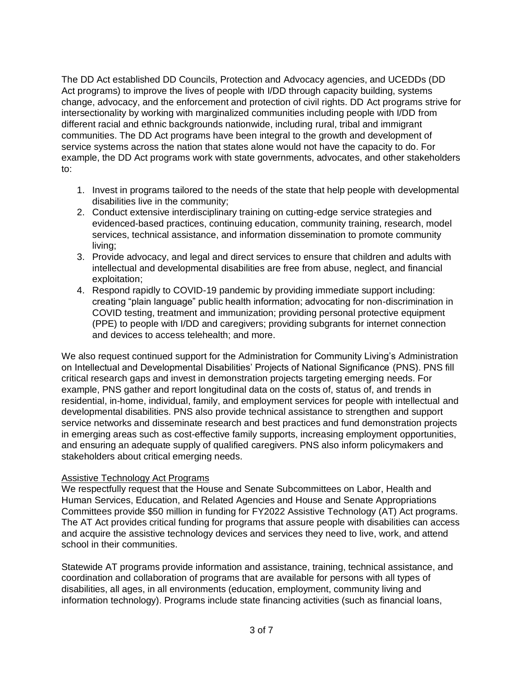The DD Act established DD Councils, Protection and Advocacy agencies, and UCEDDs (DD Act programs) to improve the lives of people with I/DD through capacity building, systems change, advocacy, and the enforcement and protection of civil rights. DD Act programs strive for intersectionality by working with marginalized communities including people with I/DD from different racial and ethnic backgrounds nationwide, including rural, tribal and immigrant communities. The DD Act programs have been integral to the growth and development of service systems across the nation that states alone would not have the capacity to do. For example, the DD Act programs work with state governments, advocates, and other stakeholders to:

- 1. Invest in programs tailored to the needs of the state that help people with developmental disabilities live in the community;
- 2. Conduct extensive interdisciplinary training on cutting-edge service strategies and evidenced-based practices, continuing education, community training, research, model services, technical assistance, and information dissemination to promote community living;
- 3. Provide advocacy, and legal and direct services to ensure that children and adults with intellectual and developmental disabilities are free from abuse, neglect, and financial exploitation;
- 4. Respond rapidly to COVID-19 pandemic by providing immediate support including: creating "plain language" public health information; advocating for non-discrimination in COVID testing, treatment and immunization; providing personal protective equipment (PPE) to people with I/DD and caregivers; providing subgrants for internet connection and devices to access telehealth; and more.

We also request continued support for the Administration for Community Living's Administration on Intellectual and Developmental Disabilities' Projects of National Significance (PNS). PNS fill critical research gaps and invest in demonstration projects targeting emerging needs. For example, PNS gather and report longitudinal data on the costs of, status of, and trends in residential, in-home, individual, family, and employment services for people with intellectual and developmental disabilities. PNS also provide technical assistance to strengthen and support service networks and disseminate research and best practices and fund demonstration projects in emerging areas such as cost-effective family supports, increasing employment opportunities, and ensuring an adequate supply of qualified caregivers. PNS also inform policymakers and stakeholders about critical emerging needs.

## Assistive Technology Act Programs

We respectfully request that the House and Senate Subcommittees on Labor, Health and Human Services, Education, and Related Agencies and House and Senate Appropriations Committees provide \$50 million in funding for FY2022 Assistive Technology (AT) Act programs. The AT Act provides critical funding for programs that assure people with disabilities can access and acquire the assistive technology devices and services they need to live, work, and attend school in their communities.

Statewide AT programs provide information and assistance, training, technical assistance, and coordination and collaboration of programs that are available for persons with all types of disabilities, all ages, in all environments (education, employment, community living and information technology). Programs include state financing activities (such as financial loans,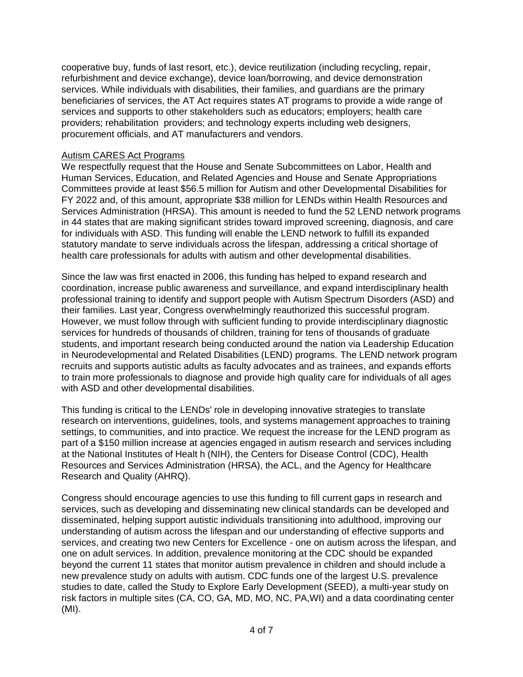cooperative buy, funds of last resort, etc.), device reutilization (including recycling, repair, refurbishment and device exchange), device loan/borrowing, and device demonstration services. While individuals with disabilities, their families, and guardians are the primary beneficiaries of services, the AT Act requires states AT programs to provide a wide range of services and supports to other stakeholders such as educators; employers; health care providers; rehabilitation providers; and technology experts including web designers, procurement officials, and AT manufacturers and vendors.

# Autism CARES Act Programs

We respectfully request that the House and Senate Subcommittees on Labor, Health and Human Services, Education, and Related Agencies and House and Senate Appropriations Committees provide at least \$56.5 million for Autism and other Developmental Disabilities for FY 2022 and, of this amount, appropriate \$38 million for LENDs within Health Resources and Services Administration (HRSA). This amount is needed to fund the 52 LEND network programs in 44 states that are making significant strides toward improved screening, diagnosis, and care for individuals with ASD. This funding will enable the LEND network to fulfill its expanded statutory mandate to serve individuals across the lifespan, addressing a critical shortage of health care professionals for adults with autism and other developmental disabilities.

Since the law was first enacted in 2006, this funding has helped to expand research and coordination, increase public awareness and surveillance, and expand interdisciplinary health professional training to identify and support people with Autism Spectrum Disorders (ASD) and their families. Last year, Congress overwhelmingly reauthorized this successful program. However, we must follow through with sufficient funding to provide interdisciplinary diagnostic services for hundreds of thousands of children, training for tens of thousands of graduate students, and important research being conducted around the nation via Leadership Education in Neurodevelopmental and Related Disabilities (LEND) programs. The LEND network program recruits and supports autistic adults as faculty advocates and as trainees, and expands efforts to train more professionals to diagnose and provide high quality care for individuals of all ages with ASD and other developmental disabilities.

This funding is critical to the LENDs' role in developing innovative strategies to translate research on interventions, guidelines, tools, and systems management approaches to training settings, to communities, and into practice. We request the increase for the LEND program as part of a \$150 million increase at agencies engaged in autism research and services including at the National Institutes of Healt h (NIH), the Centers for Disease Control (CDC), Health Resources and Services Administration (HRSA), the ACL, and the Agency for Healthcare Research and Quality (AHRQ).

Congress should encourage agencies to use this funding to fill current gaps in research and services, such as developing and disseminating new clinical standards can be developed and disseminated, helping support autistic individuals transitioning into adulthood, improving our understanding of autism across the lifespan and our understanding of effective supports and services, and creating two new Centers for Excellence - one on autism across the lifespan, and one on adult services. In addition, prevalence monitoring at the CDC should be expanded beyond the current 11 states that monitor autism prevalence in children and should include a new prevalence study on adults with autism. CDC funds one of the largest U.S. prevalence studies to date, called the Study to Explore Early Development (SEED), a multi-year study on risk factors in multiple sites (CA, CO, GA, MD, MO, NC, PA,WI) and a data coordinating center (MI).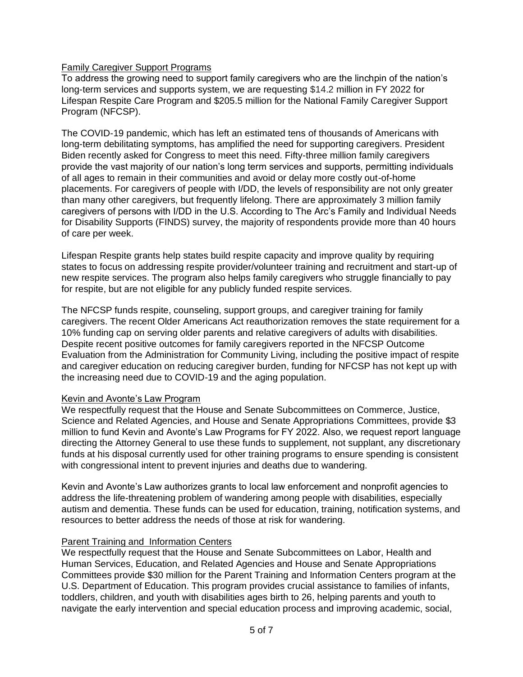# Family Caregiver Support Programs

To address the growing need to support family caregivers who are the linchpin of the nation's long-term services and supports system, we are requesting \$14.2 million in FY 2022 for Lifespan Respite Care Program and \$205.5 million for the National Family Caregiver Support Program (NFCSP).

The COVID-19 pandemic, which has left an estimated tens of thousands of Americans with long-term debilitating symptoms, has amplified the need for supporting caregivers. President Biden recently asked for Congress to meet this need. Fifty-three million family caregivers provide the vast majority of our nation's long term services and supports, permitting individuals of all ages to remain in their communities and avoid or delay more costly out-of-home placements. For caregivers of people with I/DD, the levels of responsibility are not only greater than many other caregivers, but frequently lifelong. There are approximately 3 million family caregivers of persons with I/DD in the U.S. According to The Arc's Family and Individual Needs for Disability Supports (FINDS) survey, the majority of respondents provide more than 40 hours of care per week.

Lifespan Respite grants help states build respite capacity and improve quality by requiring states to focus on addressing respite provider/volunteer training and recruitment and start-up of new respite services. The program also helps family caregivers who struggle financially to pay for respite, but are not eligible for any publicly funded respite services.

The NFCSP funds respite, counseling, support groups, and caregiver training for family caregivers. The recent Older Americans Act reauthorization removes the state requirement for a 10% funding cap on serving older parents and relative caregivers of adults with disabilities. Despite recent positive outcomes for family caregivers reported in the NFCSP Outcome Evaluation from the Administration for Community Living, including the positive impact of respite and caregiver education on reducing caregiver burden, funding for NFCSP has not kept up with the increasing need due to COVID-19 and the aging population.

## Kevin and Avonte's Law Program

We respectfully request that the House and Senate Subcommittees on Commerce, Justice, Science and Related Agencies, and House and Senate Appropriations Committees, provide \$3 million to fund Kevin and Avonte's Law Programs for FY 2022. Also, we request report language directing the Attorney General to use these funds to supplement, not supplant, any discretionary funds at his disposal currently used for other training programs to ensure spending is consistent with congressional intent to prevent injuries and deaths due to wandering.

Kevin and Avonte's Law authorizes grants to local law enforcement and nonprofit agencies to address the life-threatening problem of wandering among people with disabilities, especially autism and dementia. These funds can be used for education, training, notification systems, and resources to better address the needs of those at risk for wandering.

## Parent Training and Information Centers

We respectfully request that the House and Senate Subcommittees on Labor, Health and Human Services, Education, and Related Agencies and House and Senate Appropriations Committees provide \$30 million for the Parent Training and Information Centers program at the U.S. Department of Education. This program provides crucial assistance to families of infants, toddlers, children, and youth with disabilities ages birth to 26, helping parents and youth to navigate the early intervention and special education process and improving academic, social,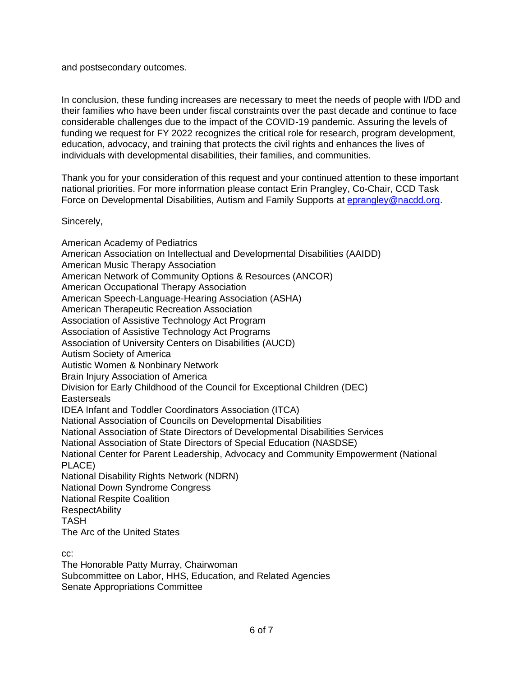and postsecondary outcomes.

In conclusion, these funding increases are necessary to meet the needs of people with I/DD and their families who have been under fiscal constraints over the past decade and continue to face considerable challenges due to the impact of the COVID-19 pandemic. Assuring the levels of funding we request for FY 2022 recognizes the critical role for research, program development, education, advocacy, and training that protects the civil rights and enhances the lives of individuals with developmental disabilities, their families, and communities.

Thank you for your consideration of this request and your continued attention to these important national priorities. For more information please contact Erin Prangley, Co-Chair, CCD Task Force on Developmental Disabilities, Autism and Family Supports at [eprangley@nacdd.org.](mailto:eprangley@nacdd.org)

Sincerely,

American Academy of Pediatrics American Association on Intellectual and Developmental Disabilities (AAIDD) American Music Therapy Association American Network of Community Options & Resources (ANCOR) American Occupational Therapy Association American Speech-Language-Hearing Association (ASHA) American Therapeutic Recreation Association Association of Assistive Technology Act Program Association of Assistive Technology Act Programs Association of University Centers on Disabilities (AUCD) Autism Society of America Autistic Women & Nonbinary Network Brain Injury Association of America Division for Early Childhood of the Council for Exceptional Children (DEC) **Easterseals** IDEA Infant and Toddler Coordinators Association (ITCA) National Association of Councils on Developmental Disabilities National Association of State Directors of Developmental Disabilities Services National Association of State Directors of Special Education (NASDSE) National Center for Parent Leadership, Advocacy and Community Empowerment (National PLACE) National Disability Rights Network (NDRN) National Down Syndrome Congress National Respite Coalition **RespectAbility** TASH The Arc of the United States

cc:

The Honorable Patty Murray, Chairwoman Subcommittee on Labor, HHS, Education, and Related Agencies Senate Appropriations Committee